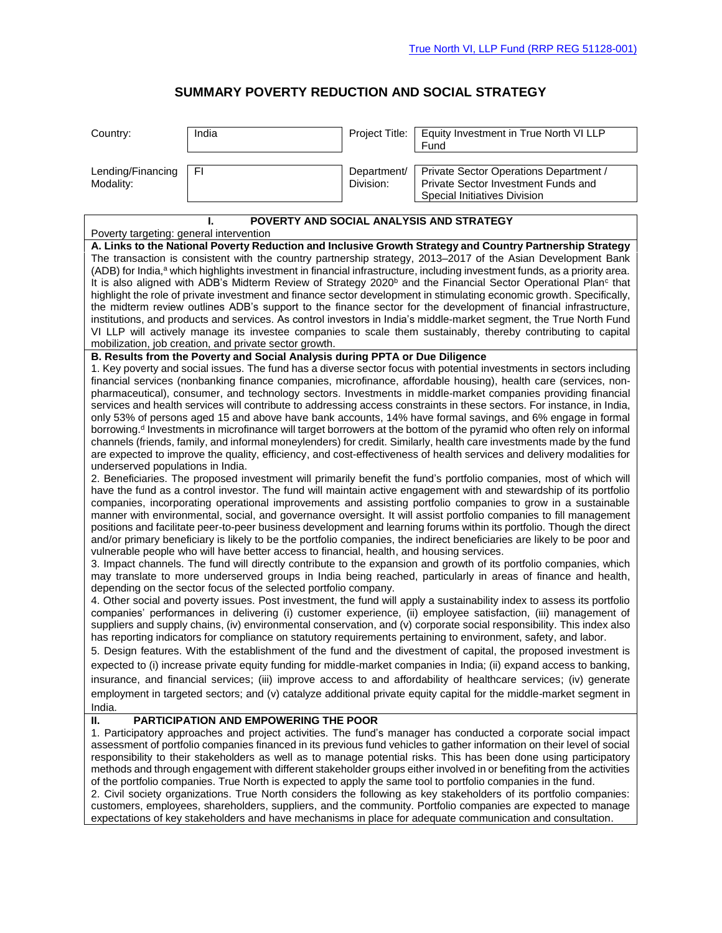## **SUMMARY POVERTY REDUCTION AND SOCIAL STRATEGY**

| Country:                                                                                                                                                                                                                                                                                                                                                                                                                                                                                                                                                                                                                                                                                                                                                                                                                                                                                                                                                                                                                                                                                                                                                                                                                                                                                                                                                                                                                                                                                                                                                                                                                              | India | Project Title:           | Equity Investment in True North VI LLP<br>Fund                                                                |
|---------------------------------------------------------------------------------------------------------------------------------------------------------------------------------------------------------------------------------------------------------------------------------------------------------------------------------------------------------------------------------------------------------------------------------------------------------------------------------------------------------------------------------------------------------------------------------------------------------------------------------------------------------------------------------------------------------------------------------------------------------------------------------------------------------------------------------------------------------------------------------------------------------------------------------------------------------------------------------------------------------------------------------------------------------------------------------------------------------------------------------------------------------------------------------------------------------------------------------------------------------------------------------------------------------------------------------------------------------------------------------------------------------------------------------------------------------------------------------------------------------------------------------------------------------------------------------------------------------------------------------------|-------|--------------------------|---------------------------------------------------------------------------------------------------------------|
| Lending/Financing<br>Modality:                                                                                                                                                                                                                                                                                                                                                                                                                                                                                                                                                                                                                                                                                                                                                                                                                                                                                                                                                                                                                                                                                                                                                                                                                                                                                                                                                                                                                                                                                                                                                                                                        | F1    | Department/<br>Division: | Private Sector Operations Department /<br>Private Sector Investment Funds and<br>Special Initiatives Division |
| POVERTY AND SOCIAL ANALYSIS AND STRATEGY<br>L<br>Poverty targeting: general intervention                                                                                                                                                                                                                                                                                                                                                                                                                                                                                                                                                                                                                                                                                                                                                                                                                                                                                                                                                                                                                                                                                                                                                                                                                                                                                                                                                                                                                                                                                                                                              |       |                          |                                                                                                               |
| A. Links to the National Poverty Reduction and Inclusive Growth Strategy and Country Partnership Strategy<br>The transaction is consistent with the country partnership strategy, 2013-2017 of the Asian Development Bank<br>(ADB) for India, <sup>a</sup> which highlights investment in financial infrastructure, including investment funds, as a priority area.<br>It is also aligned with ADB's Midterm Review of Strategy 2020 <sup>b</sup> and the Financial Sector Operational Plan <sup>c</sup> that<br>highlight the role of private investment and finance sector development in stimulating economic growth. Specifically,<br>the midterm review outlines ADB's support to the finance sector for the development of financial infrastructure,<br>institutions, and products and services. As control investors in India's middle-market segment, the True North Fund<br>VI LLP will actively manage its investee companies to scale them sustainably, thereby contributing to capital<br>mobilization, job creation, and private sector growth.<br>B. Results from the Poverty and Social Analysis during PPTA or Due Diligence<br>1. Key poverty and social issues. The fund has a diverse sector focus with potential investments in sectors including<br>financial services (nonbanking finance companies, microfinance, affordable housing), health care (services, non-<br>pharmaceutical), consumer, and technology sectors. Investments in middle-market companies providing financial<br>services and health services will contribute to addressing access constraints in these sectors. For instance, in India, |       |                          |                                                                                                               |
| only 53% of persons aged 15 and above have bank accounts, 14% have formal savings, and 6% engage in formal<br>borrowing. <sup>d</sup> Investments in microfinance will target borrowers at the bottom of the pyramid who often rely on informal<br>channels (friends, family, and informal moneylenders) for credit. Similarly, health care investments made by the fund<br>are expected to improve the quality, efficiency, and cost-effectiveness of health services and delivery modalities for<br>underserved populations in India.                                                                                                                                                                                                                                                                                                                                                                                                                                                                                                                                                                                                                                                                                                                                                                                                                                                                                                                                                                                                                                                                                               |       |                          |                                                                                                               |
| 2. Beneficiaries. The proposed investment will primarily benefit the fund's portfolio companies, most of which will<br>have the fund as a control investor. The fund will maintain active engagement with and stewardship of its portfolio<br>companies, incorporating operational improvements and assisting portfolio companies to grow in a sustainable<br>manner with environmental, social, and governance oversight. It will assist portfolio companies to fill management<br>positions and facilitate peer-to-peer business development and learning forums within its portfolio. Though the direct<br>and/or primary beneficiary is likely to be the portfolio companies, the indirect beneficiaries are likely to be poor and<br>vulnerable people who will have better access to financial, health, and housing services.<br>3. Impact channels. The fund will directly contribute to the expansion and growth of its portfolio companies, which<br>may translate to more underserved groups in India being reached, particularly in areas of finance and health,                                                                                                                                                                                                                                                                                                                                                                                                                                                                                                                                                           |       |                          |                                                                                                               |
| depending on the sector focus of the selected portfolio company.<br>4. Other social and poverty issues. Post investment, the fund will apply a sustainability index to assess its portfolio<br>companies' performances in delivering (i) customer experience, (ii) employee satisfaction, (iii) management of<br>suppliers and supply chains, (iv) environmental conservation, and (v) corporate social responsibility. This index also<br>has reporting indicators for compliance on statutory requirements pertaining to environment, safety, and labor.                                                                                                                                                                                                                                                                                                                                                                                                                                                                                                                                                                                                                                                                                                                                                                                                                                                                                                                                                                                                                                                                            |       |                          |                                                                                                               |
| 5. Design features. With the establishment of the fund and the divestment of capital, the proposed investment is<br>expected to (i) increase private equity funding for middle-market companies in India; (ii) expand access to banking,<br>insurance, and financial services; (iii) improve access to and affordability of healthcare services; (iv) generate<br>employment in targeted sectors; and (v) catalyze additional private equity capital for the middle-market segment in<br>India.                                                                                                                                                                                                                                                                                                                                                                                                                                                                                                                                                                                                                                                                                                                                                                                                                                                                                                                                                                                                                                                                                                                                       |       |                          |                                                                                                               |
| PARTICIPATION AND EMPOWERING THE POOR<br>Ш.<br>1. Participatory approaches and project activities. The fund's manager has conducted a corporate social impact<br>assessment of portfolio companies financed in its previous fund vehicles to gather information on their level of social<br>responsibility to their stakeholders as well as to manage potential risks. This has been done using participatory<br>methods and through engagement with different stakeholder groups either involved in or benefiting from the activities<br>of the portfolio companies. True North is expected to apply the same tool to portfolio companies in the fund.<br>2. Civil society organizations. True North considers the following as key stakeholders of its portfolio companies:<br>customers, employees, shareholders, suppliers, and the community. Portfolio companies are expected to manage<br>expectations of key stakeholders and have mechanisms in place for adequate communication and consultation.                                                                                                                                                                                                                                                                                                                                                                                                                                                                                                                                                                                                                           |       |                          |                                                                                                               |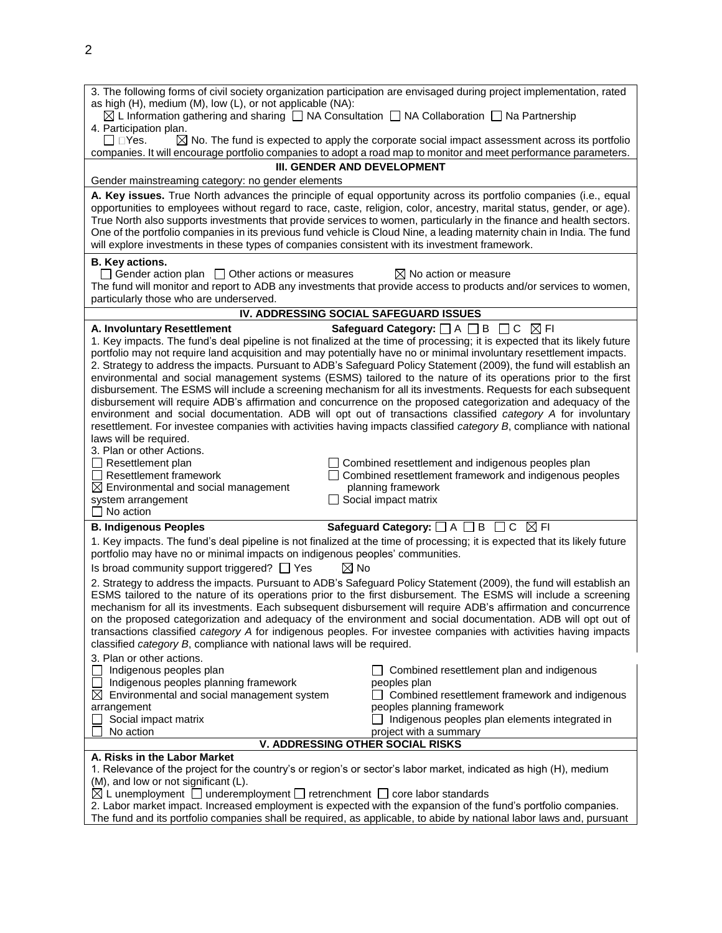| 3. The following forms of civil society organization participation are envisaged during project implementation, rated<br>as high (H), medium (M), low (L), or not applicable (NA):<br>$\boxtimes$ L Information gathering and sharing $\Box$ NA Consultation $\Box$ NA Collaboration $\Box$ Na Partnership                                                                                                                                                                                                                                                                                                                                                                                                                                                                                                                                                                                                                                                                                                                    |  |  |  |
|-------------------------------------------------------------------------------------------------------------------------------------------------------------------------------------------------------------------------------------------------------------------------------------------------------------------------------------------------------------------------------------------------------------------------------------------------------------------------------------------------------------------------------------------------------------------------------------------------------------------------------------------------------------------------------------------------------------------------------------------------------------------------------------------------------------------------------------------------------------------------------------------------------------------------------------------------------------------------------------------------------------------------------|--|--|--|
| 4. Participation plan.<br>$\boxtimes$ No. The fund is expected to apply the corporate social impact assessment across its portfolio<br>□ DYes.                                                                                                                                                                                                                                                                                                                                                                                                                                                                                                                                                                                                                                                                                                                                                                                                                                                                                |  |  |  |
| companies. It will encourage portfolio companies to adopt a road map to monitor and meet performance parameters.                                                                                                                                                                                                                                                                                                                                                                                                                                                                                                                                                                                                                                                                                                                                                                                                                                                                                                              |  |  |  |
| III. GENDER AND DEVELOPMENT                                                                                                                                                                                                                                                                                                                                                                                                                                                                                                                                                                                                                                                                                                                                                                                                                                                                                                                                                                                                   |  |  |  |
| Gender mainstreaming category: no gender elements                                                                                                                                                                                                                                                                                                                                                                                                                                                                                                                                                                                                                                                                                                                                                                                                                                                                                                                                                                             |  |  |  |
| A. Key issues. True North advances the principle of equal opportunity across its portfolio companies (i.e., equal<br>opportunities to employees without regard to race, caste, religion, color, ancestry, marital status, gender, or age).<br>True North also supports investments that provide services to women, particularly in the finance and health sectors.<br>One of the portfolio companies in its previous fund vehicle is Cloud Nine, a leading maternity chain in India. The fund<br>will explore investments in these types of companies consistent with its investment framework.                                                                                                                                                                                                                                                                                                                                                                                                                               |  |  |  |
| B. Key actions.<br>$\Box$ Gender action plan $\Box$ Other actions or measures<br>$\boxtimes$ No action or measure<br>The fund will monitor and report to ADB any investments that provide access to products and/or services to women,<br>particularly those who are underserved.                                                                                                                                                                                                                                                                                                                                                                                                                                                                                                                                                                                                                                                                                                                                             |  |  |  |
| IV. ADDRESSING SOCIAL SAFEGUARD ISSUES                                                                                                                                                                                                                                                                                                                                                                                                                                                                                                                                                                                                                                                                                                                                                                                                                                                                                                                                                                                        |  |  |  |
| Safeguard Category: $\Box$ A $\Box$ B $\Box$ C $\boxtimes$ FI<br>A. Involuntary Resettlement                                                                                                                                                                                                                                                                                                                                                                                                                                                                                                                                                                                                                                                                                                                                                                                                                                                                                                                                  |  |  |  |
| 1. Key impacts. The fund's deal pipeline is not finalized at the time of processing; it is expected that its likely future<br>portfolio may not require land acquisition and may potentially have no or minimal involuntary resettlement impacts.<br>2. Strategy to address the impacts. Pursuant to ADB's Safeguard Policy Statement (2009), the fund will establish an<br>environmental and social management systems (ESMS) tailored to the nature of its operations prior to the first<br>disbursement. The ESMS will include a screening mechanism for all its investments. Requests for each subsequent<br>disbursement will require ADB's affirmation and concurrence on the proposed categorization and adequacy of the<br>environment and social documentation. ADB will opt out of transactions classified category A for involuntary<br>resettlement. For investee companies with activities having impacts classified category B, compliance with national<br>laws will be required.<br>3. Plan or other Actions. |  |  |  |
| $\Box$ Resettlement plan<br>$\Box$ Combined resettlement and indigenous peoples plan<br>$\Box$ Resettlement framework<br>□ Combined resettlement framework and indigenous peoples<br>$\boxtimes$ Environmental and social management<br>planning framework<br>$\Box$ Social impact matrix<br>system arrangement<br>$\Box$ No action                                                                                                                                                                                                                                                                                                                                                                                                                                                                                                                                                                                                                                                                                           |  |  |  |
| Safeguard Category: $\Box$ A $\Box$ B $\Box$ C $\boxtimes$ FI<br><b>B. Indigenous Peoples</b>                                                                                                                                                                                                                                                                                                                                                                                                                                                                                                                                                                                                                                                                                                                                                                                                                                                                                                                                 |  |  |  |
| 1. Key impacts. The fund's deal pipeline is not finalized at the time of processing; it is expected that its likely future<br>portfolio may have no or minimal impacts on indigenous peoples' communities.                                                                                                                                                                                                                                                                                                                                                                                                                                                                                                                                                                                                                                                                                                                                                                                                                    |  |  |  |
| Is broad community support triggered? $\Box$ Yes<br>$\boxtimes$ No<br>2. Strategy to address the impacts. Pursuant to ADB's Safeguard Policy Statement (2009), the fund will establish an<br>ESMS tailored to the nature of its operations prior to the first disbursement. The ESMS will include a screening<br>mechanism for all its investments. Each subsequent disbursement will require ADB's affirmation and concurrence<br>on the proposed categorization and adequacy of the environment and social documentation. ADB will opt out of<br>transactions classified category A for indigenous peoples. For investee companies with activities having impacts<br>classified category B, compliance with national laws will be required.                                                                                                                                                                                                                                                                                 |  |  |  |
| 3. Plan or other actions.<br>Indigenous peoples plan<br>$\Box$ Combined resettlement plan and indigenous<br>$\Box$ Indigenous peoples planning framework<br>peoples plan<br>$\boxtimes$ Environmental and social management system<br>$\Box$ Combined resettlement framework and indigenous<br>peoples planning framework<br>arrangement<br>Social impact matrix<br>$\Box$ Indigenous peoples plan elements integrated in<br>No action<br>project with a summary                                                                                                                                                                                                                                                                                                                                                                                                                                                                                                                                                              |  |  |  |
| <b>V. ADDRESSING OTHER SOCIAL RISKS</b><br>A. Risks in the Labor Market                                                                                                                                                                                                                                                                                                                                                                                                                                                                                                                                                                                                                                                                                                                                                                                                                                                                                                                                                       |  |  |  |
| 1. Relevance of the project for the country's or region's or sector's labor market, indicated as high (H), medium<br>(M), and low or not significant (L).<br>$\boxtimes$ L unemployment $\Box$ underemployment $\Box$ retrenchment $\Box$ core labor standards<br>2. Labor market impact. Increased employment is expected with the expansion of the fund's portfolio companies.                                                                                                                                                                                                                                                                                                                                                                                                                                                                                                                                                                                                                                              |  |  |  |

The fund and its portfolio companies shall be required, as applicable, to abide by national labor laws and, pursuant